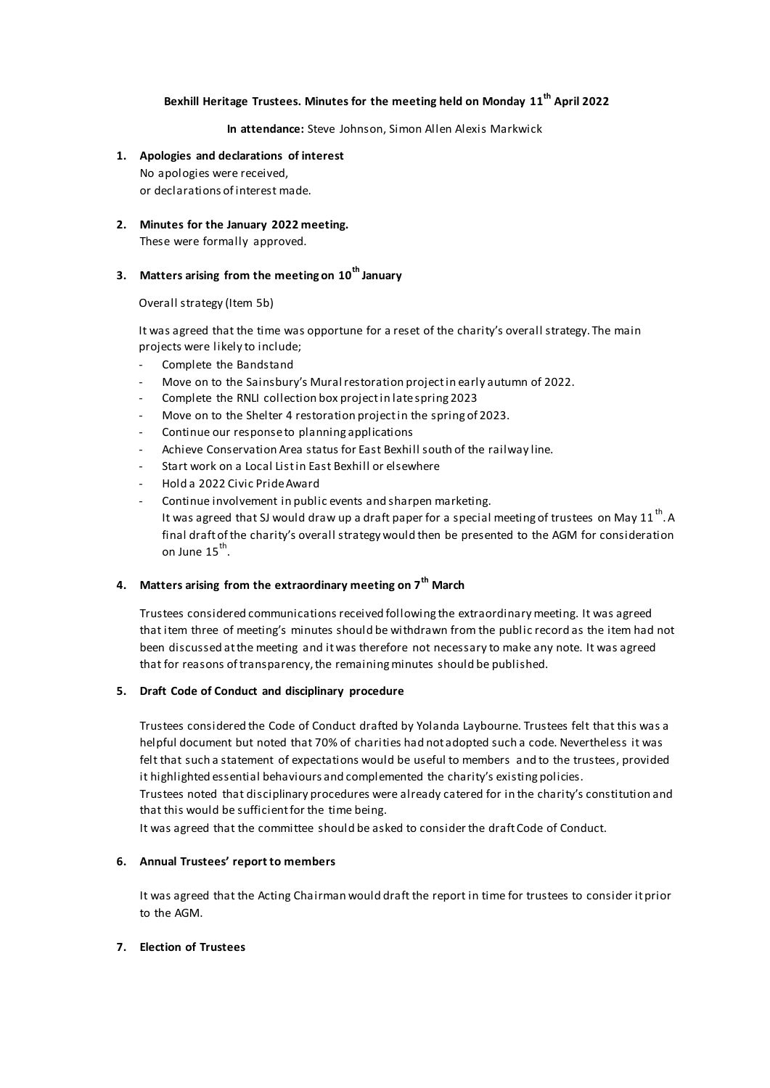## **Bexhill Heritage Trustees. Minutes for the meeting held on Monday 11th April 2022**

**In attendance:** Steve Johnson, Simon Allen Alexis Markwick

- **1. Apologies and declarations of interest** No apologies were received, or declarations of interest made.
- **2. Minutes for the January 2022 meeting.** These were formally approved.

# **3. Matters arising from the meeting on 10th January**

Overall strategy (Item 5b)

It was agreed that the time was opportune for a reset of the charity's overall strategy. The main projects were likely to include;

- Complete the Bandstand
- Move on to the Sainsbury's Mural restoration project in early autumn of 2022.
- Complete the RNLI collection box project in late spring 2023
- Move on to the Shelter 4 restoration project in the spring of 2023.
- Continue our response to planning applications
- Achieve Conservation Area status for East Bexhill south of the railway line.
- Start work on a Local List in East Bexhill or elsewhere
- Hold a 2022 Civic Pride Award
- Continue involvement in public events and sharpen marketing. It was agreed that SJ would draw up a draft paper for a special meeting of trustees on May 11  $^{\rm th}$ . A final draft of the charity's overall strategy would then be presented to the AGM for consideration on June 15<sup>th</sup>.

### **4. Matters arising from the extraordinary meeting on 7th March**

Trustees considered communications received following the extraordinary meeting. It was agreed that item three of meeting's minutes should be withdrawn from the public record as the item had not been discussed at the meeting and it was therefore not necessary to make any note. It was agreed that for reasons of transparency, the remaining minutes should be published.

#### **5. Draft Code of Conduct and disciplinary procedure**

Trustees considered the Code of Conduct drafted by Yolanda Laybourne. Trustees felt that this was a helpful document but noted that 70% of charities had not adopted such a code. Nevertheless it was felt that such a statement of expectations would be useful to members and to the trustees, provided it highlighted essential behaviours and complemented the charity's existing policies.

Trustees noted that disciplinary procedures were already catered for in the charity's constitution and that this would be sufficient for the time being.

It was agreed that the committee should be asked to consider the draft Code of Conduct.

#### **6. Annual Trustees' report to members**

It was agreed that the Acting Chairman would draft the report in time for trustees to consider it prior to the AGM.

### **7. Election of Trustees**